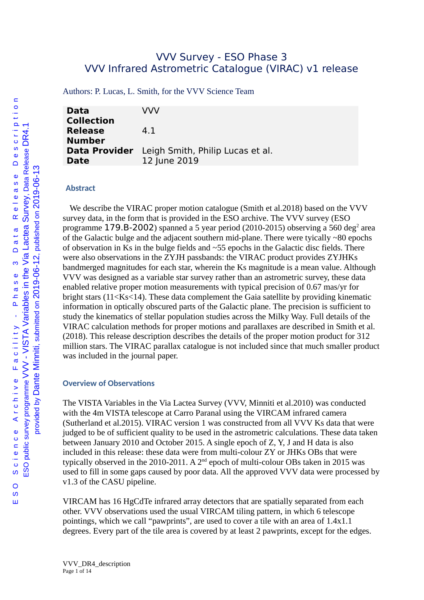## VVV Survey - ESO Phase 3 VVV Infrared Astrometric Catalogue (VIRAC) v1 release

Authors: P. Lucas, L. Smith, for the VVV Science Team

| <b>Data</b><br><b>Collection</b> | VVV                                                            |
|----------------------------------|----------------------------------------------------------------|
| <b>Release</b><br><b>Number</b>  | 41                                                             |
| <b>Date</b>                      | Data Provider Leigh Smith, Philip Lucas et al.<br>12 June 2019 |

#### **Abstract**

We describe the VIRAC proper motion catalogue (Smith et al.2018) based on the VVV survey data, in the form that is provided in the ESO archive. The VVV survey (ESO programme  $179.$ B-2002) spanned a 5 year period (2010-2015) observing a 560 deg $^{\scriptscriptstyle 2}$  area of the Galactic bulge and the adjacent southern mid-plane. There were tyically  $\sim$ 80 epochs of observation in Ks in the bulge fields and  $\sim$ 55 epochs in the Galactic disc fields. There were also observations in the ZYJH passbands: the VIRAC product provides ZYJHKs bandmerged magnitudes for each star, wherein the Ks magnitude is a mean value. Although VVV was designed as a variable star survey rather than an astrometric survey, these data enabled relative proper motion measurements with typical precision of 0.67 mas/yr for bright stars (11<Ks<14). These data complement the Gaia satellite by providing kinematic information in optically obscured parts of the Galactic plane. The precision is sufficient to study the kinematics of stellar population studies across the Milky Way. Full details of the VIRAC calculation methods for proper motions and parallaxes are described in Smith et al. (2018). This release description describes the details of the proper motion product for 312 million stars. The VIRAC parallax catalogue is not included since that much smaller product was included in the journal paper.

#### **Overview of Observations**

The VISTA Variables in the Via Lactea Survey (VVV, Minniti et al.2010) was conducted with the 4m VISTA telescope at Carro Paranal using the VIRCAM infrared camera (Sutherland et al.2015). VIRAC version 1 was constructed from all VVV Ks data that were judged to be of sufficient quality to be used in the astrometric calculations. These data taken between January 2010 and October 2015. A single epoch of Z, Y, J and H data is also included in this release: these data were from multi-colour ZY or JHKs OBs that were typically observed in the 2010-2011. A  $2<sup>nd</sup>$  epoch of multi-colour OBs taken in 2015 was used to fill in some gaps caused by poor data. All the approved VVV data were processed by v1.3 of the CASU pipeline.

VIRCAM has 16 HgCdTe infrared array detectors that are spatially separated from each other. VVV observations used the usual VIRCAM tiling pattern, in which 6 telescope pointings, which we call "pawprints", are used to cover a tile with an area of 1.4x1.1 degrees. Every part of the tile area is covered by at least 2 pawprints, except for the edges.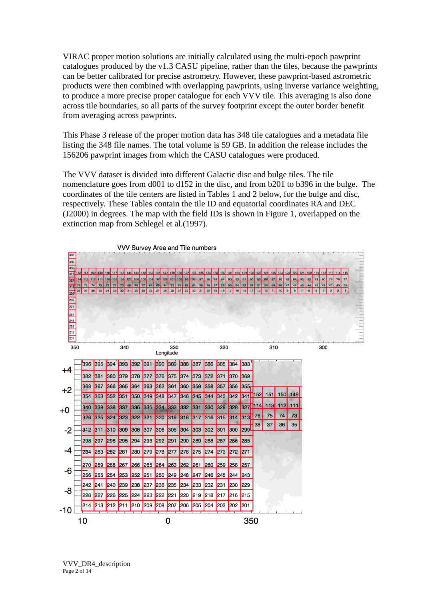VIRAC proper motion solutions are initially calculated using the multi-epoch pawprint catalogues produced by the v1.3 CASU pipeline, rather than the tiles, because the pawprints can be better calibrated for precise astrometry. However, these pawprint-based astrometric products were then combined with overlapping pawprints, using inverse variance weighting, to produce a more precise proper catalogue for each VVV tile. This averaging is also done across tile boundaries, so all parts of the survey footprint except the outer border benefit from averaging across pawprints.

This Phase 3 release of the proper motion data has 348 tile catalogues and a metadata file listing the 348 file names. The total volume is 59 GB. In addition the release includes the 156206 pawprint images from which the CASU catalogues were produced.

The VVV dataset is divided into different Galactic disc and bulge tiles. The tile nomenclature goes from d001 to d152 in the disc, and from b201 to b396 in the bulge. The coordinates of the tile centers are listed in Tables 1 and 2 below, for the bulge and disc, respectively. These Tables contain the tile ID and equatorial coordinates RA and DEC (J2000) in degrees. The map with the field IDs is shown in Figure 1, overlapped on the extinction map from Schlegel et al.(1997).

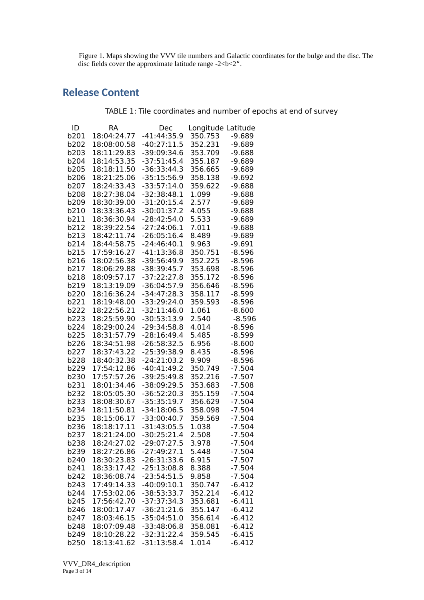Figure 1. Maps showing the VVV tile numbers and Galactic coordinates for the bulge and the disc. The disc fields cover the approximate latitude range  $-2 **2**$ °.

# **Release Content**

TABLE 1: Tile coordinates and number of epochs at end of survey

| ID           | RА                         | Dec                            | Longitude Latitude |                      |
|--------------|----------------------------|--------------------------------|--------------------|----------------------|
| b201         | 18:04:24.77                | $-41:44:35.9$                  | 350.753            | $-9.689$             |
| b202         | 18:08:00.58                | $-40:27:11.5$                  | 352.231            | $-9.689$             |
| b203         | 18:11:29.83                | -39:09:34.6                    | 353.709            | $-9.688$             |
| b204         | 18:14:53.35                | $-37:51:45.4$                  | 355.187            | $-9.689$             |
| b205         | 18:18:11.50                | $-36:33:44.3$                  | 356.665            | $-9.689$             |
| b206         | 18:21:25.06                | $-35:15:56.9$                  | 358.138            | $-9.692$             |
| b207         | 18:24:33.43                | $-33:57:14.0$                  | 359.622            | $-9.688$             |
| b208         | 18:27:38.04                | $-32:38:48.1$                  | 1.099              | $-9.688$             |
| b209         | 18:30:39.00                | $-31:20:15.4$                  | 2.577              | $-9.689$             |
| b210         | 18:33:36.43                | $-30:01:37.2$                  | 4.055              | $-9.688$             |
| b211         | 18:36:30.94                | $-28:42:54.0$                  | 5.533              | $-9.689$             |
| b212         | 18:39:22.54                | $-27:24:06.1$                  | 7.011              | $-9.688$             |
| b213         | 18:42:11.74                | $-26:05:16.4$                  | 8.489              | $-9.689$             |
| b214         | 18:44:58.75                | $-24:46:40.1$                  | 9.963              | $-9.691$             |
| b215         | 17:59:16.27                | -41:13:36.8                    | 350.751            | $-8.596$             |
| b216         | 18:02:56.38                | -39:56:49.9                    | 352.225            | $-8.596$             |
| b217         | 18:06:29.88                | -38:39:45.7                    | 353.698            | $-8.596$             |
| b218         | 18:09:57.17                | $-37:22:27.8$                  | 355.172            | $-8.596$             |
| b219         | 18:13:19.09                | $-36:04:57.9$                  | 356.646            | $-8.596$             |
| b220         | 18:16:36.24                | $-34:47:28.3$                  | 358.117            | $-8.599$             |
| b221         | 18:19:48.00                | $-33:29:24.0$                  | 359.593            | $-8.596$             |
| b222         | 18:22:56.21                | $-32:11:46.0$                  | 1.061              | $-8.600$             |
| b223         | 18:25:59.90                | $-30:53:13.9$                  | 2.540              | $-8.596$             |
| b224         | 18:29:00.24                | $-29:34:58.8$                  | 4.014              | $-8.596$             |
| b225         | 18:31:57.79                | $-28:16:49.4$                  | 5.485              | $-8.599$             |
| b226<br>b227 | 18:34:51.98                | $-26:58:32.5$                  | 6.956<br>8.435     | $-8.600$<br>$-8.596$ |
| b228         | 18:37:43.22<br>18:40:32.38 | $-25:39:38.9$<br>$-24:21:03.2$ | 9.909              | $-8.596$             |
| b229         | 17:54:12.86                | $-40:41:49.2$                  | 350.749            | $-7.504$             |
| b230         | 17:57:57.26                | $-39:25:49.8$                  | 352.216            | $-7.507$             |
| b231         | 18:01:34.46                | -38:09:29.5                    | 353.683            | $-7.508$             |
| b232         | 18:05:05.30                | $-36:52:20.3$                  | 355.159            | $-7.504$             |
| b233         | 18:08:30.67                | $-35:35:19.7$                  | 356.629            | $-7.504$             |
| b234         | 18:11:50.81                | $-34:18:06.5$                  | 358.098            | $-7.504$             |
| b235         | 18:15:06.17                | -33:00:40.7                    | 359.569            | $-7.504$             |
| b236         | 18:18:17.11                | $-31:43:05.5$                  | 1.038              | $-7.504$             |
| b237         | 18:21:24.00                | $-30:25:21.4$                  | 2.508              | $-7.504$             |
| b238         | 18:24:27.02                | $-29:07:27.5$                  | 3.978              | $-7.504$             |
| b239         | 18:27:26.86                | $-27:49:27.1$                  | 5.448              | $-7.504$             |
| b240         | 18:30:23.83                | $-26:31:33.6$                  | 6.915              | $-7.507$             |
| b241         | 18:33:17.42                | $-25:13:08.8$                  | 8.388              | $-7.504$             |
| b242         | 18:36:08.74                | $-23:54:51.5$                  | 9.858              | $-7.504$             |
| b243         | 17:49:14.33                | $-40:09:10.1$                  | 350.747            | $-6.412$             |
| b244         | 17:53:02.06                | $-38:53:33.7$                  | 352.214            | $-6.412$             |
| b245         | 17:56:42.70                | $-37:37:34.3$                  | 353.681            | $-6.411$             |
| b246         | 18:00:17.47                | $-36:21:21.6$                  | 355.147            | $-6.412$             |
| b247         | 18:03:46.15                | $-35:04:51.0$                  | 356.614            | $-6.412$             |
| b248         | 18:07:09.48                | $-33:48:06.8$                  | 358.081            | $-6.412$             |
| b249         | 18:10:28.22                | $-32:31:22.4$                  | 359.545            | $-6.415$             |
| b250         | 18:13:41.62                | $-31:13:58.4$                  | 1.014              | $-6.412$             |

VVV\_DR4\_description Page 3 of 14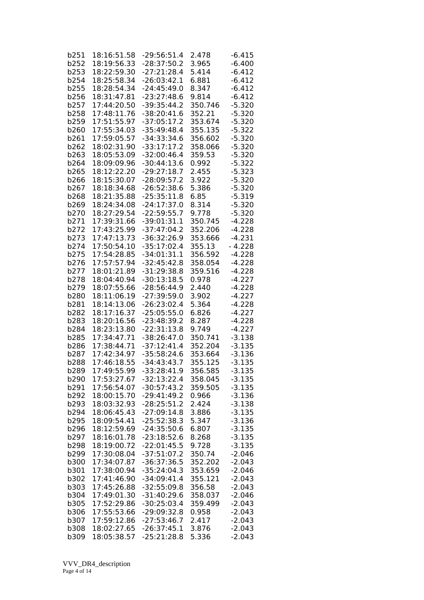| b251 | 18:16:51.58 | $-29:56:51.4$ | 2.478   | $-6.415$ |
|------|-------------|---------------|---------|----------|
| b252 | 18:19:56.33 | $-28:37:50.2$ | 3.965   | $-6.400$ |
| b253 | 18:22:59.30 | $-27:21:28.4$ | 5.414   | $-6.412$ |
| b254 | 18:25:58.34 | $-26:03:42.1$ | 6.881   | $-6.412$ |
| b255 | 18:28:54.34 | $-24:45:49.0$ | 8.347   | $-6.412$ |
| b256 | 18:31:47.81 | $-23:27:48.6$ | 9.814   | $-6.412$ |
|      |             |               |         |          |
| b257 | 17:44:20.50 | $-39:35:44.2$ | 350.746 | $-5.320$ |
| b258 | 17:48:11.76 | $-38:20:41.6$ | 352.21  | $-5.320$ |
| b259 | 17:51:55.97 | $-37:05:17.2$ | 353.674 | $-5.320$ |
| b260 | 17:55:34.03 | $-35:49:48.4$ | 355.135 | $-5.322$ |
| b261 | 17:59:05.57 | -34:33:34.6   | 356.602 | $-5.320$ |
| b262 | 18:02:31.90 | $-33:17:17.2$ | 358.066 | $-5.320$ |
| b263 | 18:05:53.09 | $-32:00:46.4$ | 359.53  | $-5.320$ |
| b264 | 18:09:09.96 | $-30:44:13.6$ | 0.992   | $-5.322$ |
| b265 | 18:12:22.20 | $-29:27:18.7$ | 2.455   | $-5.323$ |
| b266 | 18:15:30.07 | $-28:09:57.2$ | 3.922   | $-5.320$ |
| b267 | 18:18:34.68 | $-26:52:38.6$ | 5.386   | $-5.320$ |
| b268 | 18:21:35.88 | $-25:35:11.8$ | 6.85    | $-5.319$ |
| b269 | 18:24:34.08 | $-24:17:37.0$ | 8.314   | $-5.320$ |
| b270 | 18:27:29.54 | $-22:59:55.7$ | 9.778   | $-5.320$ |
|      |             |               |         |          |
| b271 | 17:39:31.66 | $-39:01:31.1$ | 350.745 | $-4.228$ |
| b272 | 17:43:25.99 | $-37:47:04.2$ | 352.206 | $-4.228$ |
| b273 | 17:47:13.73 | $-36:32:26.9$ | 353.666 | $-4.231$ |
| b274 | 17:50:54.10 | $-35:17:02.4$ | 355.13  | $-4.228$ |
| b275 | 17:54:28.85 | $-34:01:31.1$ | 356.592 | $-4.228$ |
| b276 | 17:57:57.94 | $-32:45:42.8$ | 358.054 | $-4.228$ |
| b277 | 18:01:21.89 | $-31:29:38.8$ | 359.516 | $-4.228$ |
| b278 | 18:04:40.94 | $-30:13:18.5$ | 0.978   | $-4.227$ |
| b279 | 18:07:55.66 | $-28:56:44.9$ | 2.440   | $-4.228$ |
| b280 | 18:11:06.19 | $-27:39:59.0$ | 3.902   | $-4.227$ |
| b281 | 18:14:13.06 | $-26:23:02.4$ | 5.364   | $-4.228$ |
| b282 | 18:17:16.37 | $-25:05:55.0$ | 6.826   | $-4.227$ |
| b283 | 18:20:16.56 | $-23:48:39.2$ | 8.287   | $-4.228$ |
| b284 | 18:23:13.80 | $-22:31:13.8$ | 9.749   | $-4.227$ |
| b285 | 17:34:47.71 | $-38:26:47.0$ | 350.741 | $-3.138$ |
| b286 | 17:38:44.71 | $-37:12:41.4$ | 352.204 | $-3.135$ |
|      | 17:42:34.97 | $-35:58:24.6$ | 353.664 |          |
| b287 |             |               |         | $-3.136$ |
| b288 | 17:46:18.55 | $-34:43:43.7$ | 355.125 | $-3.135$ |
| b289 | 17:49:55.99 | -33:28:41.9   | 356.585 | $-3.135$ |
| b290 | 17:53:27.67 | $-32:13:22.4$ | 358.045 | $-3.135$ |
| b291 | 17:56:54.07 | $-30:57:43.2$ | 359.505 | $-3.135$ |
| b292 | 18:00:15.70 | $-29:41:49.2$ | 0.966   | $-3.136$ |
| b293 | 18:03:32.93 | $-28:25:51.2$ | 2.424   | $-3.138$ |
| b294 | 18:06:45.43 | $-27:09:14.8$ | 3.886   | $-3.135$ |
| b295 | 18:09:54.41 | $-25:52:38.3$ | 5.347   | $-3.136$ |
| b296 | 18:12:59.69 | $-24:35:50.6$ | 6.807   | $-3.135$ |
| b297 | 18:16:01.78 | $-23:18:52.6$ | 8.268   | $-3.135$ |
| b298 | 18:19:00.72 | $-22:01:45.5$ | 9.728   | $-3.135$ |
| b299 | 17:30:08.04 | $-37:51:07.2$ | 350.74  | $-2.046$ |
| b300 | 17:34:07.87 | $-36:37:36.5$ | 352.202 | $-2.043$ |
| b301 | 17:38:00.94 | $-35:24:04.3$ | 353.659 | $-2.046$ |
| b302 | 17:41:46.90 | $-34:09:41.4$ | 355.121 | $-2.043$ |
|      |             |               |         |          |
| b303 | 17:45:26.88 | $-32:55:09.8$ | 356.58  | $-2.043$ |
| b304 | 17:49:01.30 | $-31:40:29.6$ | 358.037 | $-2.046$ |
| b305 | 17:52:29.86 | $-30:25:03.4$ | 359.499 | $-2.043$ |
| b306 | 17:55:53.66 | $-29:09:32.8$ | 0.958   | $-2.043$ |
| b307 | 17:59:12.86 | $-27:53:46.7$ | 2.417   | $-2.043$ |
| b308 | 18:02:27.65 | $-26:37:45.1$ | 3.876   | $-2.043$ |
| b309 | 18:05:38.57 | $-25:21:28.8$ | 5.336   | $-2.043$ |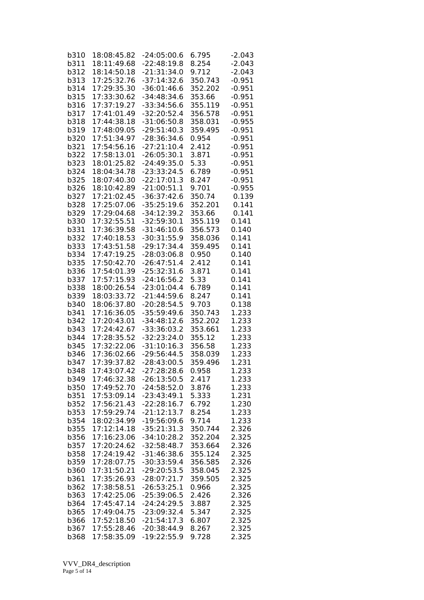| b310 | 18:08:45.82 | -24:05:00.6   | 6.795   | $-2.043$ |
|------|-------------|---------------|---------|----------|
| b311 | 18:11:49.68 | $-22:48:19.8$ | 8.254   | $-2.043$ |
| b312 | 18:14:50.18 | $-21:31:34.0$ | 9.712   | $-2.043$ |
| b313 | 17:25:32.76 | $-37:14:32.6$ | 350.743 | $-0.951$ |
| b314 | 17:29:35.30 | $-36:01:46.6$ | 352.202 | $-0.951$ |
| b315 | 17:33:30.62 | $-34:48:34.6$ | 353.66  | $-0.951$ |
|      |             |               |         |          |
| b316 | 17:37:19.27 | $-33:34:56.6$ | 355.119 | $-0.951$ |
| b317 | 17:41:01.49 | $-32:20:52.4$ | 356.578 | $-0.951$ |
| b318 | 17:44:38.18 | $-31:06:50.8$ | 358.031 | $-0.955$ |
| b319 | 17:48:09.05 | $-29:51:40.3$ | 359.495 | $-0.951$ |
| b320 | 17:51:34.97 | $-28:36:34.6$ | 0.954   | $-0.951$ |
| b321 | 17:54:56.16 | $-27:21:10.4$ | 2.412   | $-0.951$ |
| b322 | 17:58:13.01 | $-26:05:30.1$ | 3.871   | $-0.951$ |
| b323 | 18:01:25.82 | $-24:49:35.0$ | 5.33    | $-0.951$ |
| b324 | 18:04:34.78 | $-23:33:24.5$ | 6.789   | $-0.951$ |
| b325 | 18:07:40.30 | $-22:17:01.3$ | 8.247   | $-0.951$ |
| b326 | 18:10:42.89 | $-21:00:51.1$ | 9.701   | $-0.955$ |
| b327 | 17:21:02.45 | $-36:37:42.6$ | 350.74  | 0.139    |
| b328 | 17:25:07.06 | $-35:25:19.6$ | 352.201 | 0.141    |
| b329 | 17:29:04.68 | $-34:12:39.2$ | 353.66  | 0.141    |
| b330 | 17:32:55.51 | $-32:59:30.1$ | 355.119 | 0.141    |
| b331 | 17:36:39.58 | $-31:46:10.6$ | 356.573 | 0.140    |
| b332 | 17:40:18.53 | $-30:31:55.9$ | 358.036 | 0.141    |
| b333 | 17:43:51.58 | $-29:17:34.4$ | 359.495 | 0.141    |
|      | 17:47:19.25 |               |         | 0.140    |
| b334 |             | $-28:03:06.8$ | 0.950   |          |
| b335 | 17:50:42.70 | $-26:47:51.4$ | 2.412   | 0.141    |
| b336 | 17:54:01.39 | $-25:32:31.6$ | 3.871   | 0.141    |
| b337 | 17:57:15.93 | $-24:16:56.2$ | 5.33    | 0.141    |
| b338 | 18:00:26.54 | $-23:01:04.4$ | 6.789   | 0.141    |
| b339 | 18:03:33.72 | $-21:44:59.6$ | 8.247   | 0.141    |
| b340 | 18:06:37.80 | $-20:28:54.5$ | 9.703   | 0.138    |
| b341 | 17:16:36.05 | $-35:59:49.6$ | 350.743 | 1.233    |
| b342 | 17:20:43.01 | $-34:48:12.6$ | 352.202 | 1.233    |
| b343 | 17:24:42.67 | $-33:36:03.2$ | 353.661 | 1.233    |
| b344 | 17:28:35.52 | $-32:23:24.0$ | 355.12  | 1.233    |
| b345 | 17:32:22.06 | $-31:10:16.3$ | 356.58  | 1.233    |
| b346 | 17:36:02.66 | $-29:56:44.5$ | 358.039 | 1.233    |
| b347 | 17:39:37.82 | $-28:43:00.5$ | 359.496 | 1.231    |
| b348 | 17:43:07.42 | $-27:28:28.6$ | 0.958   | 1.233    |
| b349 | 17:46:32.38 | $-26:13:50.5$ | 2.417   | 1.233    |
| b350 | 17:49:52.70 | $-24:58:52.0$ | 3.876   | 1.233    |
| b351 | 17:53:09.14 | $-23:43:49.1$ | 5.333   | 1.231    |
| b352 | 17:56:21.43 | $-22:28:16.7$ | 6.792   | 1.230    |
| b353 | 17:59:29.74 | $-21:12:13.7$ | 8.254   | 1.233    |
| b354 | 18:02:34.99 | $-19:56:09.6$ | 9.714   | 1.233    |
| b355 | 17:12:14.18 | $-35:21:31.3$ | 350.744 | 2.326    |
| b356 | 17:16:23.06 | $-34:10:28.2$ | 352.204 | 2.325    |
| b357 | 17:20:24.62 | $-32:58:48.7$ | 353.664 | 2.326    |
| b358 | 17:24:19.42 | $-31:46:38.6$ | 355.124 | 2.325    |
|      |             | $-30:33:59.4$ |         | 2.326    |
| b359 | 17:28:07.75 |               | 356.585 |          |
| b360 | 17:31:50.21 | $-29:20:53.5$ | 358.045 | 2.325    |
| b361 | 17:35:26.93 | $-28:07:21.7$ | 359.505 | 2.325    |
| b362 | 17:38:58.51 | $-26:53:25.1$ | 0.966   | 2.325    |
| b363 | 17:42:25.06 | $-25:39:06.5$ | 2.426   | 2.326    |
| b364 | 17:45:47.14 | $-24:24:29.5$ | 3.887   | 2.325    |
| b365 | 17:49:04.75 | $-23:09:32.4$ | 5.347   | 2.325    |
| b366 | 17:52:18.50 | $-21:54:17.3$ | 6.807   | 2.325    |
| b367 | 17:55:28.46 | $-20:38:44.9$ | 8.267   | 2.325    |
| b368 | 17:58:35.09 | $-19:22:55.9$ | 9.728   | 2.325    |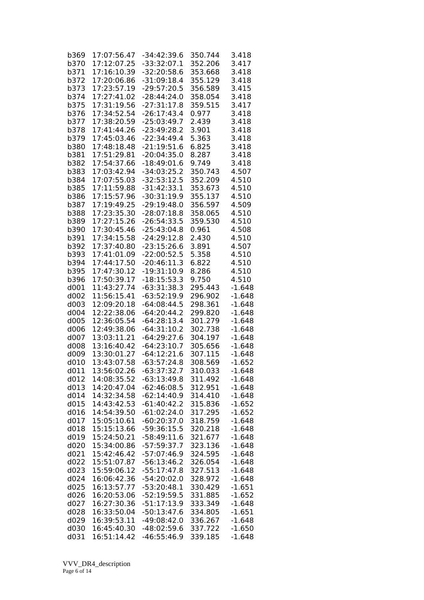| b369 | 17:07:56.47 | -34:42:39.6   | 350.744 | 3.418    |
|------|-------------|---------------|---------|----------|
| b370 | 17:12:07.25 | $-33:32:07.1$ | 352.206 | 3.417    |
| b371 | 17:16:10.39 | $-32:20:58.6$ | 353.668 | 3.418    |
| b372 | 17:20:06.86 | $-31:09:18.4$ | 355.129 | 3.418    |
| b373 | 17:23:57.19 | $-29:57:20.5$ | 356.589 | 3.415    |
| b374 | 17:27:41.02 | $-28:44:24.0$ | 358.054 | 3.418    |
|      |             |               |         |          |
| b375 | 17:31:19.56 | $-27:31:17.8$ | 359.515 | 3.417    |
| b376 | 17:34:52.54 | $-26:17:43.4$ | 0.977   | 3.418    |
| b377 | 17:38:20.59 | $-25:03:49.7$ | 2.439   | 3.418    |
| b378 | 17:41:44.26 | $-23:49:28.2$ | 3.901   | 3.418    |
| b379 | 17:45:03.46 | $-22:34:49.4$ | 5.363   | 3.418    |
| b380 | 17:48:18.48 | $-21:19:51.6$ | 6.825   | 3.418    |
| b381 | 17:51:29.81 | $-20:04:35.0$ | 8.287   | 3.418    |
| b382 | 17:54:37.66 | $-18:49:01.6$ | 9.749   | 3.418    |
| b383 | 17:03:42.94 | $-34:03:25.2$ | 350.743 | 4.507    |
| b384 | 17:07:55.03 | $-32:53:12.5$ | 352.209 | 4.510    |
| b385 | 17:11:59.88 | $-31:42:33.1$ | 353.673 | 4.510    |
| b386 | 17:15:57.96 | $-30:31:19.9$ | 355.137 | 4.510    |
| b387 | 17:19:49.25 | $-29:19:48.0$ | 356.597 | 4.509    |
| b388 | 17:23:35.30 | $-28:07:18.8$ | 358.065 | 4.510    |
| b389 | 17:27:15.26 | $-26:54:33.5$ | 359.530 | 4.510    |
| b390 | 17:30:45.46 | $-25:43:04.8$ | 0.961   | 4.508    |
| b391 | 17:34:15.58 | $-24:29:12.8$ | 2.430   | 4.510    |
| b392 |             |               |         | 4.507    |
|      | 17:37:40.80 | $-23:15:26.6$ | 3.891   |          |
| b393 | 17:41:01.09 | $-22:00:52.5$ | 5.358   | 4.510    |
| b394 | 17:44:17.50 | $-20:46:11.3$ | 6.822   | 4.510    |
| b395 | 17:47:30.12 | $-19:31:10.9$ | 8.286   | 4.510    |
| b396 | 17:50:39.17 | $-18:15:53.3$ | 9.750   | 4.510    |
| d001 | 11:43:27.74 | $-63:31:38.3$ | 295.443 | $-1.648$ |
| d002 | 11:56:15.41 | $-63:52:19.9$ | 296.902 | $-1.648$ |
| d003 | 12:09:20.18 | $-64:08:44.5$ | 298.361 | $-1.648$ |
| d004 | 12:22:38.06 | $-64:20:44.2$ | 299.820 | $-1.648$ |
| d005 | 12:36:05.54 | $-64:28:13.4$ | 301.279 | $-1.648$ |
| d006 | 12:49:38.06 | $-64:31:10.2$ | 302.738 | $-1.648$ |
| d007 | 13:03:11.21 | $-64:29:27.6$ | 304.197 | $-1.648$ |
| d008 | 13:16:40.42 | $-64:23:10.7$ | 305.656 | $-1.648$ |
| d009 | 13:30:01.27 | $-64:12:21.6$ | 307.115 | $-1.648$ |
| d010 | 13:43:07.58 | $-63:57:24.8$ | 308.569 | $-1.652$ |
| d011 | 13:56:02.26 | $-63:37:32.7$ | 310.033 | $-1.648$ |
| d012 | 14:08:35.52 | $-63:13:49.8$ | 311.492 | $-1.648$ |
| d013 | 14:20:47.04 | $-62:46:08.5$ | 312.951 | $-1.648$ |
| d014 | 14:32:34.58 | $-62:14:40.9$ | 314.410 | $-1.648$ |
| d015 | 14:43:42.53 | $-61:40:42.2$ | 315.836 | $-1.652$ |
| d016 | 14:54:39.50 | $-61:02:24.0$ | 317.295 | $-1.652$ |
| d017 | 15:05:10.61 | $-60:20:37.0$ | 318.759 | $-1.648$ |
| d018 | 15:15:13.66 | $-59:36:15.5$ |         |          |
|      |             |               | 320.218 | $-1.648$ |
| d019 | 15:24:50.21 | $-58:49:11.6$ | 321.677 | $-1.648$ |
| d020 | 15:34:00.86 | $-57:59:37.7$ | 323.136 | $-1.648$ |
| d021 | 15:42:46.42 | $-57:07:46.9$ | 324.595 | $-1.648$ |
| d022 | 15:51:07.87 | $-56:13:46.2$ | 326.054 | $-1.648$ |
| d023 | 15:59:06.12 | $-55:17:47.8$ | 327.513 | $-1.648$ |
| d024 | 16:06:42.36 | $-54:20:02.0$ | 328.972 | $-1.648$ |
| d025 | 16:13:57.77 | $-53:20:48.1$ | 330.429 | $-1.651$ |
| d026 | 16:20:53.06 | $-52:19:59.5$ | 331.885 | $-1.652$ |
| d027 | 16:27:30.36 | $-51:17:13.9$ | 333.349 | $-1.648$ |
| d028 | 16:33:50.04 | $-50:13:47.6$ | 334.805 | $-1.651$ |
| d029 | 16:39:53.11 | $-49:08:42.0$ | 336.267 | $-1.648$ |
| d030 | 16:45:40.30 | $-48:02:59.6$ | 337.722 | $-1.650$ |
| d031 | 16:51:14.42 | $-46:55:46.9$ | 339.185 | $-1.648$ |
|      |             |               |         |          |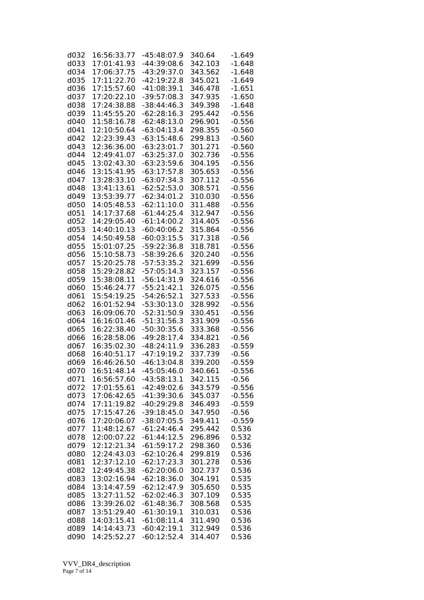| d032 | 16:56:33.77 | $-45:48:07.9$ | 340.64  | -1.649   |
|------|-------------|---------------|---------|----------|
| d033 | 17:01:41.93 | $-44:39:08.6$ | 342.103 | $-1.648$ |
| d034 | 17:06:37.75 | $-43:29:37.0$ | 343.562 | $-1.648$ |
| d035 | 17:11:22.70 | $-42:19:22.8$ | 345.021 | $-1.649$ |
| d036 | 17:15:57.60 | $-41:08:39.1$ | 346.478 | $-1.651$ |
| d037 | 17:20:22.10 | $-39:57:08.3$ | 347.935 | $-1.650$ |
| d038 | 17:24:38.88 | $-38:44:46.3$ | 349.398 | $-1.648$ |
| d039 | 11:45:55.20 | $-62:28:16.3$ | 295.442 | $-0.556$ |
| d040 | 11:58:16.78 | $-62:48:13.0$ | 296.901 | $-0.556$ |
| d041 | 12:10:50.64 | $-63:04:13.4$ | 298.355 | $-0.560$ |
| d042 | 12:23:39.43 | $-63:15:48.6$ | 299.813 | $-0.560$ |
| d043 | 12:36:36.00 | $-63:23:01.7$ |         |          |
|      |             |               | 301.271 | $-0.560$ |
| d044 | 12:49:41.07 | $-63:25:37.0$ | 302.736 | $-0.556$ |
| d045 | 13:02:43.30 | $-63:23:59.6$ | 304.195 | $-0.556$ |
| d046 | 13:15:41.95 | $-63:17:57.8$ | 305.653 | $-0.556$ |
| d047 | 13:28:33.10 | $-63:07:34.3$ | 307.112 | $-0.556$ |
| d048 | 13:41:13.61 | $-62:52:53.0$ | 308.571 | $-0.556$ |
| d049 | 13:53:39.77 | $-62:34:01.2$ | 310.030 | $-0.556$ |
| d050 | 14:05:48.53 | $-62:11:10.0$ | 311.488 | $-0.556$ |
| d051 | 14:17:37.68 | $-61:44:25.4$ | 312.947 | $-0.556$ |
| d052 | 14:29:05.40 | $-61:14:00.2$ | 314.405 | $-0.556$ |
| d053 | 14:40:10.13 | $-60:40:06.2$ | 315.864 | $-0.556$ |
| d054 | 14:50:49.58 | $-60:03:15.5$ | 317.318 | $-0.56$  |
| d055 | 15:01:07.25 | $-59:22:36.8$ | 318.781 | $-0.556$ |
| d056 | 15:10:58.73 | $-58:39:26.6$ | 320.240 | $-0.556$ |
| d057 | 15:20:25.78 | $-57:53:35.2$ | 321.699 | $-0.556$ |
| d058 | 15:29:28.82 | $-57:05:14.3$ | 323.157 | $-0.556$ |
| d059 | 15:38:08.11 | $-56:14:31.9$ | 324.616 | $-0.556$ |
| d060 | 15:46:24.77 | $-55:21:42.1$ | 326.075 | $-0.556$ |
| d061 | 15:54:19.25 | $-54:26:52.1$ | 327.533 | $-0.556$ |
| d062 | 16:01:52.94 | $-53:30:13.0$ | 328.992 | $-0.556$ |
| d063 | 16:09:06.70 | $-52:31:50.9$ | 330.451 | $-0.556$ |
| d064 | 16:16:01.46 | $-51:31:56.3$ | 331.909 | $-0.556$ |
| d065 | 16:22:38.40 | $-50:30:35.6$ | 333.368 | $-0.556$ |
| d066 | 16:28:58.06 | $-49:28:17.4$ | 334.821 | $-0.56$  |
| d067 | 16:35:02.30 | $-48:24:11.9$ | 336.283 | $-0.559$ |
| d068 | 16:40:51.17 | $-47:19:19.2$ | 337.739 | $-0.56$  |
| d069 | 16:46:26.50 | $-46:13:04.8$ | 339.200 | $-0.559$ |
| d070 | 16:51:48.14 | $-45:05:46.0$ | 340.661 | $-0.556$ |
| d071 | 16:56:57.60 | $-43:58:13.1$ | 342.115 | $-0.56$  |
| d072 | 17:01:55.61 | $-42:49:02.6$ | 343.579 | $-0.556$ |
| d073 | 17:06:42.65 | $-41:39:30.6$ | 345.037 | $-0.556$ |
| d074 | 17:11:19.82 | -40:29:29.8   | 346.493 | $-0.559$ |
| d075 | 17:15:47.26 | $-39:18:45.0$ | 347.950 | $-0.56$  |
| d076 | 17:20:06.07 | $-38:07:05.5$ | 349.411 | $-0.559$ |
| d077 | 11:48:12.67 | $-61:24:46.4$ | 295.442 | 0.536    |
| d078 | 12:00:07.22 | $-61:44:12.5$ | 296.896 | 0.532    |
| d079 | 12:12:21.34 | $-61:59:17.2$ | 298.360 | 0.536    |
| d080 | 12:24:43.03 | $-62:10:26.4$ | 299.819 | 0.536    |
| d081 | 12:37:12.10 | $-62:17:23.3$ | 301.278 | 0.536    |
| d082 | 12:49:45.38 | $-62:20:06.0$ | 302.737 | 0.536    |
| d083 | 13:02:16.94 | $-62:18:36.0$ | 304.191 | 0.535    |
| d084 | 13:14:47.59 | $-62:12:47.9$ | 305.650 | 0.535    |
| d085 | 13:27:11.52 | $-62:02:46.3$ | 307.109 | 0.535    |
| d086 | 13:39:26.02 | $-61:48:36.7$ | 308.568 | 0.535    |
| d087 | 13:51:29.40 | $-61:30:19.1$ | 310.031 | 0.536    |
| d088 | 14:03:15.41 | $-61:08:11.4$ | 311.490 | 0.536    |
| d089 | 14:14:43.73 | $-60:42:19.1$ | 312.949 | 0.536    |
| d090 | 14:25:52.27 | $-60:12:52.4$ | 314.407 | 0.536    |
|      |             |               |         |          |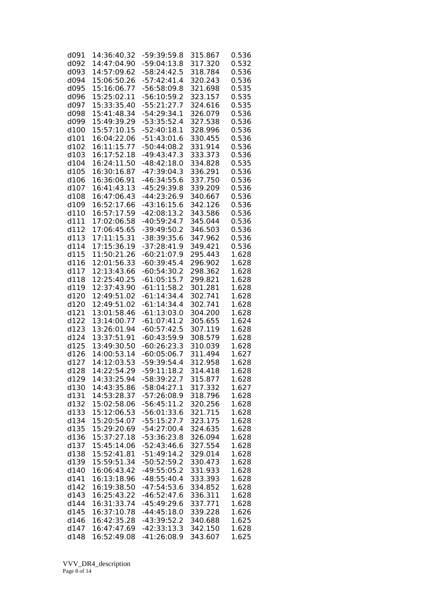| d091 | 14:36:40.32 | -59:39:59.8   | 315.867 | 0.536 |
|------|-------------|---------------|---------|-------|
| d092 | 14:47:04.90 | $-59:04:13.8$ | 317.320 | 0.532 |
| d093 | 14:57:09.62 | $-58:24:42.5$ | 318.784 | 0.536 |
| d094 | 15:06:50.26 | $-57:42:41.4$ | 320.243 | 0.536 |
| d095 | 15:16:06.77 | $-56:58:09.8$ | 321.698 | 0.535 |
| d096 | 15:25:02.11 | $-56:10:59.2$ | 323.157 | 0.535 |
|      |             | $-55:21:27.7$ |         |       |
| d097 | 15:33:35.40 |               | 324.616 | 0.535 |
| d098 | 15:41:48.34 | $-54:29:34.1$ | 326.079 | 0.536 |
| d099 | 15:49:39.29 | $-53:35:52.4$ | 327.538 | 0.536 |
| d100 | 15:57:10.15 | $-52:40:18.1$ | 328.996 | 0.536 |
| d101 | 16:04:22.06 | $-51:43:01.6$ | 330.455 | 0.536 |
| d102 | 16:11:15.77 | $-50:44:08.2$ | 331.914 | 0.536 |
| d103 | 16:17:52.18 | $-49:43:47.3$ | 333.373 | 0.536 |
| d104 | 16:24:11.50 | $-48:42:18.0$ | 334.828 | 0.535 |
| d105 | 16:30:16.87 | $-47:39:04.3$ | 336.291 | 0.536 |
| d106 | 16:36:06.91 | $-46:34:55.6$ | 337.750 | 0.536 |
| d107 | 16:41:43.13 | -45:29:39.8   | 339.209 | 0.536 |
| d108 | 16:47:06.43 | $-44:23:26.9$ | 340.667 | 0.536 |
| d109 | 16:52:17.66 | $-43:16:15.6$ | 342.126 | 0.536 |
|      |             |               |         |       |
| d110 | 16:57:17.59 | $-42:08:13.2$ | 343.586 | 0.536 |
| d111 | 17:02:06.58 | $-40:59:24.7$ | 345.044 | 0.536 |
| d112 | 17:06:45.65 | -39:49:50.2   | 346.503 | 0.536 |
| d113 | 17:11:15.31 | $-38:39:35.6$ | 347.962 | 0.536 |
| d114 | 17:15:36.19 | $-37:28:41.9$ | 349.421 | 0.536 |
| d115 | 11:50:21.26 | $-60:21:07.9$ | 295.443 | 1.628 |
| d116 | 12:01:56.33 | $-60:39:45.4$ | 296.902 | 1.628 |
| d117 | 12:13:43.66 | $-60:54:30.2$ | 298.362 | 1.628 |
| d118 | 12:25:40.25 | $-61:05:15.7$ | 299.821 | 1.628 |
| d119 | 12:37:43.90 | $-61:11:58.2$ | 301.281 | 1.628 |
| d120 | 12:49:51.02 | $-61:14:34.4$ | 302.741 | 1.628 |
| d120 | 12:49:51.02 | $-61:14:34.4$ | 302.741 | 1.628 |
|      | 13:01:58.46 | $-61:13:03.0$ |         |       |
| d121 |             |               | 304.200 | 1.628 |
| d122 | 13:14:00.77 | $-61:07:41.2$ | 305.655 | 1.624 |
| d123 | 13:26:01.94 | $-60:57:42.5$ | 307.119 | 1.628 |
| d124 | 13:37:51.91 | $-60:43:59.9$ | 308.579 | 1.628 |
| d125 | 13:49:30.50 | $-60:26:23.3$ | 310.039 | 1.628 |
| d126 | 14:00:53.14 | $-60:05:06.7$ | 311.494 | 1.627 |
| d127 | 14:12:03.53 | $-59:39:54.4$ | 312.958 | 1.628 |
| d128 | 14:22:54.29 | $-59:11:18.2$ | 314.418 | 1.628 |
| d129 | 14:33:25.94 | $-58:39:22.7$ | 315.877 | 1.628 |
| d130 | 14:43:35.86 | $-58:04:27.1$ | 317.332 | 1.627 |
| d131 | 14:53:28.37 | $-57:26:08.9$ | 318.796 | 1.628 |
| d132 | 15:02:58.06 | $-56:45:11.2$ | 320.256 | 1.628 |
| d133 | 15:12:06.53 | $-56:01:33.6$ | 321.715 | 1.628 |
|      | 15:20:54.07 |               |         |       |
| d134 |             | $-55:15:27.7$ | 323.175 | 1.628 |
| d135 | 15:29:20.69 | $-54:27:00.4$ | 324.635 | 1.628 |
| d136 | 15:37:27.18 | -53:36:23.8   | 326.094 | 1.628 |
| d137 | 15:45:14.06 | $-52:43:46.6$ | 327.554 | 1.628 |
| d138 | 15:52:41.81 | $-51:49:14.2$ | 329.014 | 1.628 |
| d139 | 15:59:51.34 | $-50:52:59.2$ | 330.473 | 1.628 |
| d140 | 16:06:43.42 | $-49:55:05.2$ | 331.933 | 1.628 |
| d141 | 16:13:18.96 | $-48:55:40.4$ | 333.393 | 1.628 |
| d142 | 16:19:38.50 | $-47:54:53.6$ | 334.852 | 1.628 |
| d143 | 16:25:43.22 | $-46:52:47.6$ | 336.311 | 1.628 |
| d144 | 16:31:33.74 | $-45:49:29.6$ | 337.771 | 1.628 |
| d145 | 16:37:10.78 | $-44:45:18.0$ | 339.228 | 1.626 |
| d146 | 16:42:35.28 | $-43:39:52.2$ | 340.688 | 1.625 |
|      |             |               |         |       |
| d147 | 16:47:47.69 | $-42:33:13.3$ | 342.150 | 1.628 |
| d148 | 16:52:49.08 | -41:26:08.9   | 343.607 | 1.625 |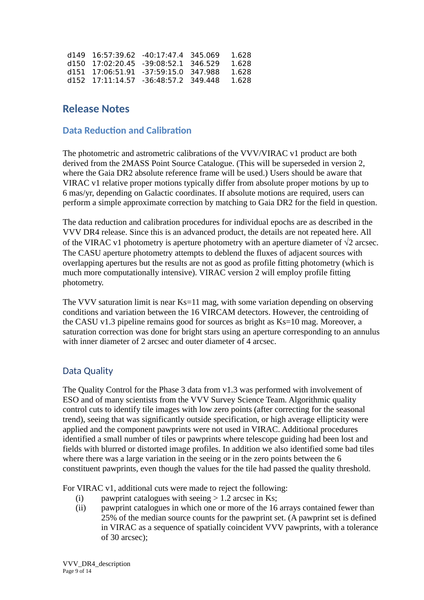| $d149$ 16:57:39.62 -40:17:47.4 345.069 |  | 1.628  |
|----------------------------------------|--|--------|
| d150 17:02:20.45 -39:08:52.1 346.529   |  | 1.628  |
| d151 17:06:51.91 -37:59:15.0 347.988   |  | 1.628  |
| d152 17:11:14.57 -36:48:57.2 349.448   |  | -1.628 |

## **Release Notes**

## **Data Reduction and Calibration**

The photometric and astrometric calibrations of the VVV/VIRAC v1 product are both derived from the 2MASS Point Source Catalogue. (This will be superseded in version 2, where the Gaia DR2 absolute reference frame will be used.) Users should be aware that VIRAC v1 relative proper motions typically differ from absolute proper motions by up to 6 mas/yr, depending on Galactic coordinates. If absolute motions are required, users can perform a simple approximate correction by matching to Gaia DR2 for the field in question.

The data reduction and calibration procedures for individual epochs are as described in the VVV DR4 release. Since this is an advanced product, the details are not repeated here. All of the VIRAC v1 photometry is aperture photometry with an aperture diameter of  $\sqrt{2}$  arcsec. The CASU aperture photometry attempts to deblend the fluxes of adjacent sources with overlapping apertures but the results are not as good as profile fitting photometry (which is much more computationally intensive). VIRAC version 2 will employ profile fitting photometry.

The VVV saturation limit is near Ks=11 mag, with some variation depending on observing conditions and variation between the 16 VIRCAM detectors. However, the centroiding of the CASU v1.3 pipeline remains good for sources as bright as Ks=10 mag. Moreover, a saturation correction was done for bright stars using an aperture corresponding to an annulus with inner diameter of 2 arcsec and outer diameter of 4 arcsec.

## Data Quality

The Quality Control for the Phase 3 data from v1.3 was performed with involvement of ESO and of many scientists from the VVV Survey Science Team. Algorithmic quality control cuts to identify tile images with low zero points (after correcting for the seasonal trend), seeing that was significantly outside specification, or high average ellipticity were applied and the component pawprints were not used in VIRAC. Additional procedures identified a small number of tiles or pawprints where telescope guiding had been lost and fields with blurred or distorted image profiles. In addition we also identified some bad tiles where there was a large variation in the seeing or in the zero points between the 6 constituent pawprints, even though the values for the tile had passed the quality threshold.

For VIRAC v1, additional cuts were made to reject the following:

- (i) pawprint catalogues with seeing  $> 1.2$  arcsec in Ks;
- (ii) pawprint catalogues in which one or more of the 16 arrays contained fewer than 25% of the median source counts for the pawprint set. (A pawprint set is defined in VIRAC as a sequence of spatially coincident VVV pawprints, with a tolerance of 30 arcsec);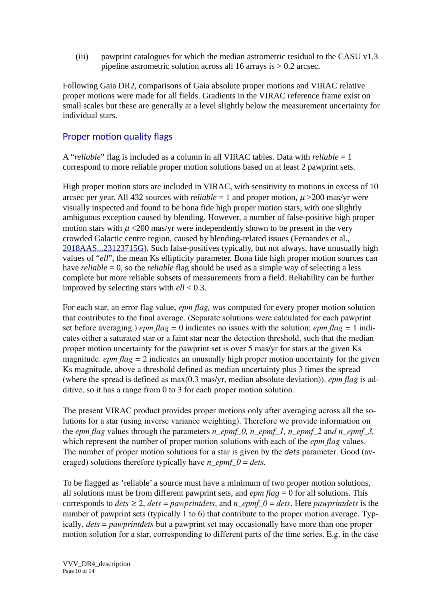(iii) pawprint catalogues for which the median astrometric residual to the CASU v1.3 pipeline astrometric solution across all 16 arrays is  $> 0.2$  arcsec.

Following Gaia DR2, comparisons of Gaia absolute proper motions and VIRAC relative proper motions were made for all fields. Gradients in the VIRAC reference frame exist on small scales but these are generally at a level slightly below the measurement uncertainty for individual stars.

## Proper motion quality flags

A "*reliable*" flag is included as a column in all VIRAC tables. Data with *reliable* = 1 correspond to more reliable proper motion solutions based on at least 2 pawprint sets.

High proper motion stars are included in VIRAC, with sensitivity to motions in excess of 10 arcsec per year. All 432 sources with *reliable*  $= 1$  and proper motion,  $\mu$  >200 mas/yr were visually inspected and found to be bona fide high proper motion stars, with one slightly ambiguous exception caused by blending. However, a number of false-positive high proper motion stars with  $\mu$  <200 mas/yr were independently shown to be present in the very crowded Galactic centre region, caused by blending-related issues (Fernandes et al., [2018AAS...23123715G\)](https://ui.adsabs.harvard.edu/#abs/2018AAS...23123715G/abstract). Such false-positives typically, but not always, have unusually high values of "*ell*", the mean Ks ellipticity parameter. Bona fide high proper motion sources can have *reliable* = 0, so the *reliable* flag should be used as a simple way of selecting a less complete but more reliable subsets of measurements from a field. Reliability can be further improved by selecting stars with *ell* < 0.3.

For each star, an error flag value, *epm flag,* was computed for every proper motion solution that contributes to the final average. (Separate solutions were calculated for each pawprint set before averaging.) *epm flag =* 0 indicates no issues with the solution; *epm flag =* 1 indicates either a saturated star or a faint star near the detection threshold, such that the median proper motion uncertainty for the pawprint set is over 5 mas/yr for stars at the given Ks magnitude. *epm flag* = 2 indicates an unusually high proper motion uncertainty for the given Ks magnitude, above a threshold defined as median uncertainty plus 3 times the spread (where the spread is defined as max(0.3 mas/yr, median absolute deviation)). *epm flag* is additive, so it has a range from 0 to 3 for each proper motion solution.

The present VIRAC product provides proper motions only after averaging across all the solutions for a star (using inverse variance weighting). Therefore we provide information on the *epm flag* values through the parameters *n\_epmf\_0, n\_epmf\_1, n\_epmf\_2 and n\_epmf\_3,* which represent the number of proper motion solutions with each of the *epm flag* values. The number of proper motion solutions for a star is given by the dets parameter. Good (averaged) solutions therefore typically have *n\_epmf\_0* = *dets*.

To be flagged as 'reliable' a source must have a minimum of two proper motion solutions, all solutions must be from different pawprint sets, and *epm flag* = 0 for all solutions. This corresponds to  $dets \geq 2$ ,  $dets = pawprintdets$ , and *n\_epmf\_0 = dets*. Here *pawprintdets* is the number of pawprint sets (typically 1 to 6) that contribute to the proper motion average. Typically, *dets* = *pawprintdets* but a pawprint set may occasionally have more than one proper motion solution for a star, corresponding to different parts of the time series. E.g. in the case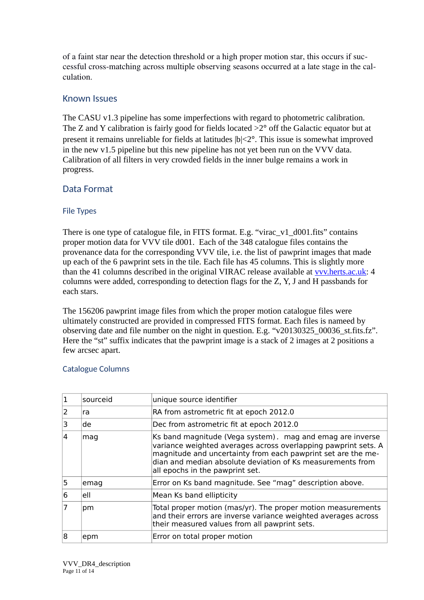of a faint star near the detection threshold or a high proper motion star, this occurs if successful cross-matching across multiple observing seasons occurred at a late stage in the calculation.

### Known Issues

The CASU v1.3 pipeline has some imperfections with regard to photometric calibration. The Z and Y calibration is fairly good for fields located  $>2^{\circ}$  off the Galactic equator but at present it remains unreliable for fields at latitudes  $|b| \leq 2^{\circ}$ . This issue is somewhat improved in the new v1.5 pipeline but this new pipeline has not yet been run on the VVV data. Calibration of all filters in very crowded fields in the inner bulge remains a work in progress.

## Data Format

#### File Types

There is one type of catalogue file, in FITS format. E.g. "virac\_v1\_d001.fits" contains proper motion data for VVV tile d001. Each of the 348 catalogue files contains the provenance data for the corresponding VVV tile, i.e. the list of pawprint images that made up each of the 6 pawprint sets in the tile. Each file has 45 columns. This is slightly more than the 41 columns described in the original VIRAC release available at vvv.herts.ac.uk: 4 columns were added, corresponding to detection flags for the Z, Y, J and H passbands for each stars.

The 156206 pawprint image files from which the proper motion catalogue files were ultimately constructed are provided in compressed FITS format. Each files is nameed by observing date and file number on the night in question. E.g. "v20130325\_00036\_st.fits.fz". Here the "st" suffix indicates that the pawprint image is a stack of 2 images at 2 positions a few arcsec apart.

#### Catalogue Columns

|    | sourceid | unique source identifier                                                                                                                                                                                                                                                                     |  |
|----|----------|----------------------------------------------------------------------------------------------------------------------------------------------------------------------------------------------------------------------------------------------------------------------------------------------|--|
| 2  | ra       | RA from astrometric fit at epoch 2012.0                                                                                                                                                                                                                                                      |  |
|    | lde      | Dec from astrometric fit at epoch 2012.0                                                                                                                                                                                                                                                     |  |
| 14 | mag      | Ks band magnitude (Vega system). mag and emag are inverse<br>variance weighted averages across overlapping pawprint sets. A<br>magnitude and uncertainty from each pawprint set are the me-<br>dian and median absolute deviation of Ks measurements from<br>all epochs in the pawprint set. |  |
| 5  | emag     | Error on Ks band magnitude. See "mag" description above.                                                                                                                                                                                                                                     |  |
| 16 | lell     | Mean Ks band ellipticity                                                                                                                                                                                                                                                                     |  |
|    | pm       | Total proper motion (mas/yr). The proper motion measurements<br>and their errors are inverse variance weighted averages across<br>their measured values from all pawprint sets.                                                                                                              |  |
| 18 | epm      | Error on total proper motion                                                                                                                                                                                                                                                                 |  |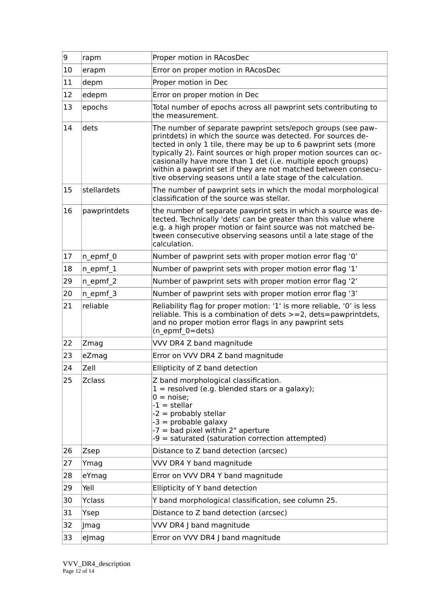| 9  | rapm          | Proper motion in RAcosDec                                                                                                                                                                                                                                                                                                                                                                                                                                              |
|----|---------------|------------------------------------------------------------------------------------------------------------------------------------------------------------------------------------------------------------------------------------------------------------------------------------------------------------------------------------------------------------------------------------------------------------------------------------------------------------------------|
| 10 | erapm         | Error on proper motion in RAcosDec                                                                                                                                                                                                                                                                                                                                                                                                                                     |
| 11 | depm          | Proper motion in Dec                                                                                                                                                                                                                                                                                                                                                                                                                                                   |
| 12 | edepm         | Error on proper motion in Dec                                                                                                                                                                                                                                                                                                                                                                                                                                          |
| 13 | epochs        | Total number of epochs across all pawprint sets contributing to<br>the measurement.                                                                                                                                                                                                                                                                                                                                                                                    |
| 14 | dets          | The number of separate pawprint sets/epoch groups (see paw-<br>printdets) in which the source was detected. For sources de-<br>tected in only 1 tile, there may be up to 6 pawprint sets (more<br>typically 2). Faint sources or high proper motion sources can oc-<br>casionally have more than 1 det (i.e. multiple epoch groups)<br>within a pawprint set if they are not matched between consecu-<br>tive observing seasons until a late stage of the calculation. |
| 15 | stellardets   | The number of pawprint sets in which the modal morphological<br>classification of the source was stellar.                                                                                                                                                                                                                                                                                                                                                              |
| 16 | pawprintdets  | the number of separate pawprint sets in which a source was de-<br>tected. Technically 'dets' can be greater than this value where<br>e.g. a high proper motion or faint source was not matched be-<br>tween consecutive observing seasons until a late stage of the<br>calculation.                                                                                                                                                                                    |
| 17 | n_epmf_0      | Number of pawprint sets with proper motion error flag '0'                                                                                                                                                                                                                                                                                                                                                                                                              |
| 18 | $n$ epmf_1    | Number of pawprint sets with proper motion error flag '1'                                                                                                                                                                                                                                                                                                                                                                                                              |
| 29 | $n$ epmf 2    | Number of pawprint sets with proper motion error flag '2'                                                                                                                                                                                                                                                                                                                                                                                                              |
| 20 | n_epmf_3      | Number of pawprint sets with proper motion error flag '3'                                                                                                                                                                                                                                                                                                                                                                                                              |
| 21 | reliable      | Reliability flag for proper motion: '1' is more reliable, '0' is less<br>reliable. This is a combination of dets >=2, dets=pawprintdets,<br>and no proper motion error flags in any pawprint sets<br>( $n$ epmf $0 = dets$ )                                                                                                                                                                                                                                           |
| 22 | Zmag          | VVV DR4 Z band magnitude                                                                                                                                                                                                                                                                                                                                                                                                                                               |
| 23 | eZmag         | Error on VVV DR4 Z band magnitude                                                                                                                                                                                                                                                                                                                                                                                                                                      |
| 24 | Zell          | Ellipticity of Z band detection                                                                                                                                                                                                                                                                                                                                                                                                                                        |
| 25 | <b>Zclass</b> | Z band morphological classification.<br>$1 =$ resolved (e.g. blended stars or a galaxy);<br>$0 = noise;$<br>$-1$ = stellar<br>$-2$ = probably stellar<br>-3 = probable galaxy<br>$-7$ = bad pixel within 2" aperture<br>-9 = saturated (saturation correction attempted)                                                                                                                                                                                               |
| 26 | Zsep          | Distance to Z band detection (arcsec)                                                                                                                                                                                                                                                                                                                                                                                                                                  |
| 27 | Ymag          | VVV DR4 Y band magnitude                                                                                                                                                                                                                                                                                                                                                                                                                                               |
| 28 | eYmag         | Error on VVV DR4 Y band magnitude                                                                                                                                                                                                                                                                                                                                                                                                                                      |
| 29 | Yell          | Ellipticity of Y band detection                                                                                                                                                                                                                                                                                                                                                                                                                                        |
| 30 | Yclass        | Y band morphological classification, see column 25.                                                                                                                                                                                                                                                                                                                                                                                                                    |
| 31 | Ysep          | Distance to Z band detection (arcsec)                                                                                                                                                                                                                                                                                                                                                                                                                                  |
| 32 | Jmag          | VVV DR4 J band magnitude                                                                                                                                                                                                                                                                                                                                                                                                                                               |
| 33 | eJmag         | Error on VVV DR4 J band magnitude                                                                                                                                                                                                                                                                                                                                                                                                                                      |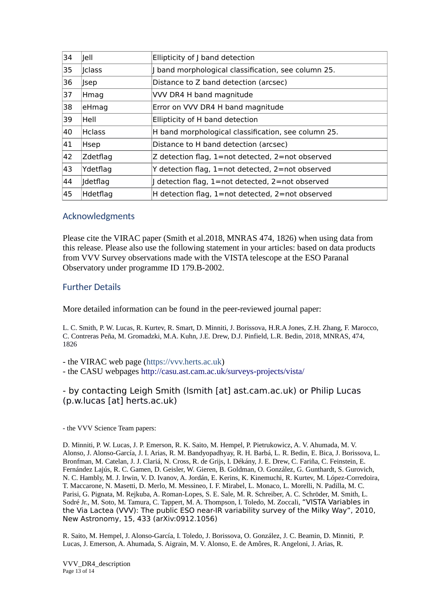| 34 | Jell            | Ellipticity of J band detection                        |
|----|-----------------|--------------------------------------------------------|
| 35 | <b>Iclass</b>   | J band morphological classification, see column 25.    |
| 36 | <b>Jsep</b>     | Distance to Z band detection (arcsec)                  |
| 37 | Hmag            | VVV DR4 H band magnitude                               |
| 38 | eHmag           | Error on VVV DR4 H band magnitude                      |
| 39 | lHell           | Ellipticity of H band detection                        |
| 40 | <b>Hclass</b>   | H band morphological classification, see column 25.    |
| 41 | Hsep            | Distance to H band detection (arcsec)                  |
| 42 | Zdetflag        | Z detection flag, 1=not detected, 2=not observed       |
| 43 | Ydetflag        | Y detection flag, 1=not detected, 2=not observed       |
| 44 | <b>Idetflag</b> | detection flag, 1=not detected, 2=not observed         |
| 45 | Hdetflag        | H detection flag, $1=$ not detected, $2=$ not observed |

#### Acknowledgments

Please cite the VIRAC paper (Smith et al.2018, MNRAS 474, 1826) when using data from this release. Please also use the following statement in your articles: based on data products from VVV Survey observations made with the VISTA telescope at the ESO Paranal Observatory under programme ID 179.B-2002.

#### Further Details

More detailed information can be found in the peer-reviewed journal paper:

L. C. Smith, P. W. Lucas, R. Kurtev, R. Smart, D. Minniti, J. Borissova, H.R.A Jones, Z.H. Zhang, F. Marocco, C. Contreras Peña, M. Gromadzki, M.A. Kuhn, J.E. Drew, D.J. Pinfield, L.R. Bedin, 2018, MNRAS, 474, 1826

- the VIRAC web page (https://vvv.herts.ac.uk)

- the CASU webpages http://casu.ast.cam.ac.uk/surveys-projects/vista/

- by contacting Leigh Smith (lsmith [at] ast.cam.ac.uk) or Philip Lucas (p.w.lucas [at] herts.ac.uk)

- the VVV Science Team papers:

D. Minniti, P. W. Lucas, J. P. Emerson, R. K. Saito, M. Hempel, P. Pietrukowicz, A. V. Ahumada, M. V. Alonso, J. Alonso-García, J. I. Arias, R. M. Bandyopadhyay, R. H. Barbá, L. R. Bedin, E. Bica, J. Borissova, L. Bronfman, M. Catelan, J. J. Clariá, N. Cross, R. de Grijs, I. Dékány, J. E. Drew, C. Fariña, C. Feinstein, E. Fernández Lajús, R. C. Gamen, D. Geisler, W. Gieren, B. Goldman, O. González, G. Gunthardt, S. Gurovich, N. C. Hambly, M. J. Irwin, V. D. Ivanov, A. Jordán, E. Kerins, K. Kinemuchi, R. Kurtev, M. López-Corredoira, T. Maccarone, N. Masetti, D. Merlo, M. Messineo, I. F. Mirabel, L. Monaco, L. Morelli, N. Padilla, M. C. Parisi, G. Pignata, M. Rejkuba, A. Roman-Lopes, S. E. Sale, M. R. Schreiber, A. C. Schröder, M. Smith, L. Sodré Jr., M. Soto, M. Tamura, C. Tappert, M. A. Thompson, I. Toledo, M. Zoccali, "VISTA Variables in the Via Lactea (VVV): The public ESO near-IR variability survey of the Milky Way", 2010, New Astronomy, 15, 433 (arXiv:0912.1056)

R. Saito, M. Hempel, J. Alonso-García, I. Toledo, J. Borissova, O. González, J. C. Beamin, D. Minniti, P. Lucas, J. Emerson, A. Ahumada, S. Aigrain, M. V. Alonso, E. de Amôres, R. Angeloni, J. Arias, R.